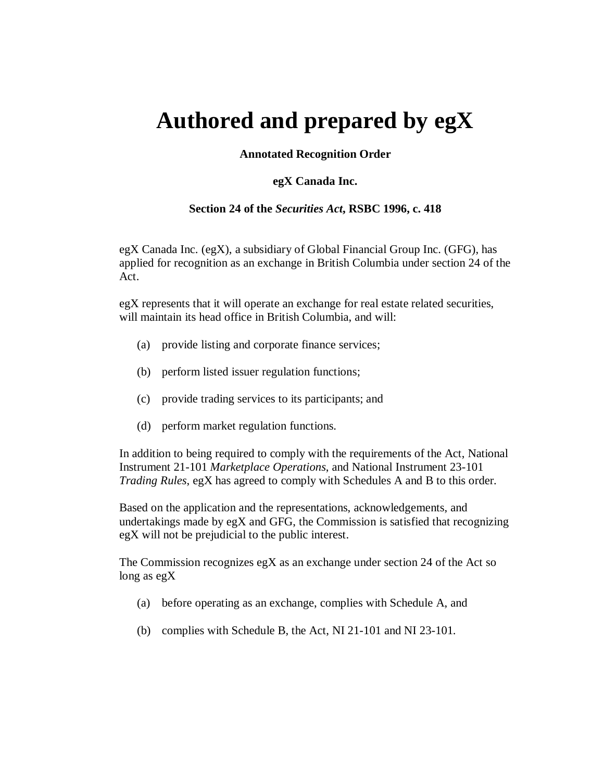# **Authored and prepared by egX**

## **Annotated Recognition Order**

## **egX Canada Inc.**

## **Section 24 of the** *Securities Act***, RSBC 1996, c. 418**

egX Canada Inc. (egX), a subsidiary of Global Financial Group Inc. (GFG), has applied for recognition as an exchange in British Columbia under section 24 of the Act.

egX represents that it will operate an exchange for real estate related securities, will maintain its head office in British Columbia, and will:

- (a) provide listing and corporate finance services;
- (b) perform listed issuer regulation functions;
- (c) provide trading services to its participants; and
- (d) perform market regulation functions.

In addition to being required to comply with the requirements of the Act, National Instrument 21-101 *Marketplace Operations*, and National Instrument 23-101 *Trading Rules*, egX has agreed to comply with Schedules A and B to this order.

Based on the application and the representations, acknowledgements, and undertakings made by egX and GFG, the Commission is satisfied that recognizing egX will not be prejudicial to the public interest.

The Commission recognizes egX as an exchange under section 24 of the Act so long as egX

- (a) before operating as an exchange, complies with Schedule A, and
- (b) complies with Schedule B, the Act, NI 21-101 and NI 23-101.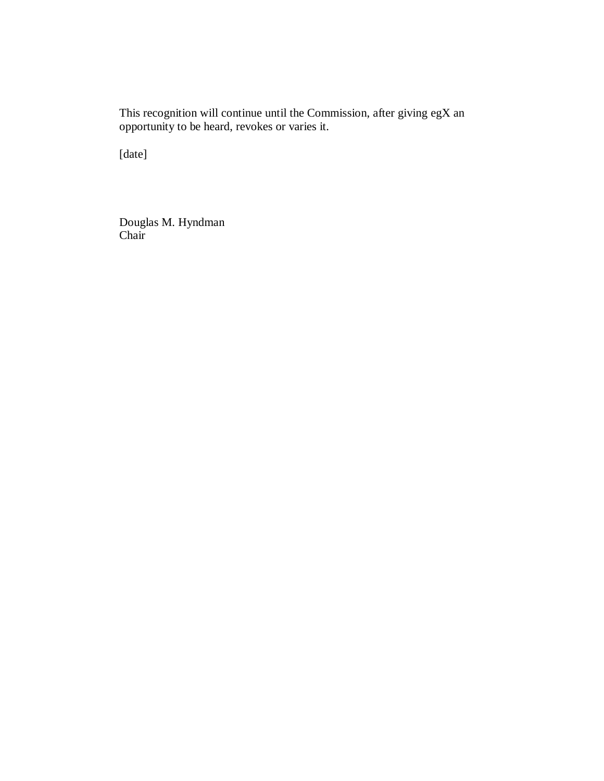This recognition will continue until the Commission, after giving egX an opportunity to be heard, revokes or varies it.

[date]

Douglas M. Hyndman Chair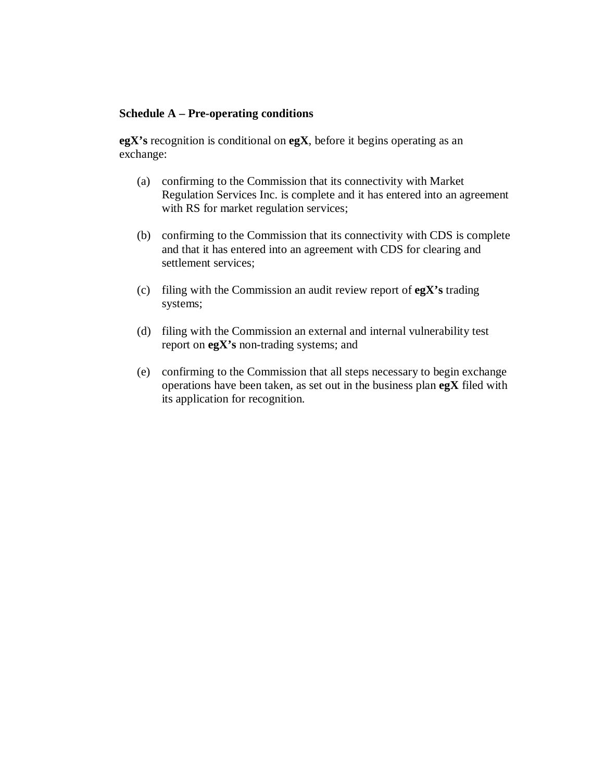## **Schedule A – Pre-operating conditions**

**egX's** recognition is conditional on **egX**, before it begins operating as an exchange:

- (a) confirming to the Commission that its connectivity with Market Regulation Services Inc. is complete and it has entered into an agreement with RS for market regulation services;
- (b) confirming to the Commission that its connectivity with CDS is complete and that it has entered into an agreement with CDS for clearing and settlement services;
- (c) filing with the Commission an audit review report of **egX's** trading systems;
- (d) filing with the Commission an external and internal vulnerability test report on **egX's** non-trading systems; and
- (e) confirming to the Commission that all steps necessary to begin exchange operations have been taken, as set out in the business plan **egX** filed with its application for recognition.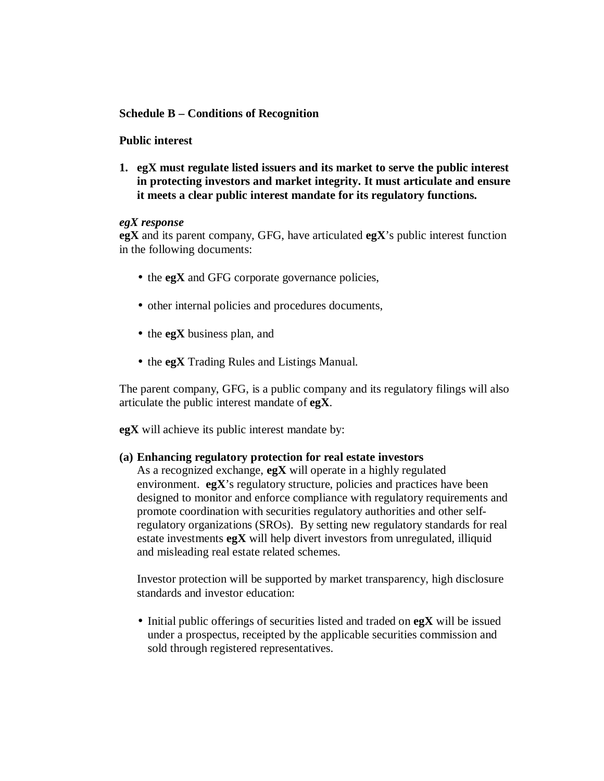## **Schedule B – Conditions of Recognition**

## **Public interest**

**1. egX must regulate listed issuers and its market to serve the public interest in protecting investors and market integrity. It must articulate and ensure it meets a clear public interest mandate for its regulatory functions.** 

## *egX response*

**egX** and its parent company, GFG, have articulated **egX**'s public interest function in the following documents:

- the **egX** and GFG corporate governance policies,
- other internal policies and procedures documents,
- the **egX** business plan, and
- the **egX** Trading Rules and Listings Manual.

The parent company, GFG, is a public company and its regulatory filings will also articulate the public interest mandate of **egX**.

**egX** will achieve its public interest mandate by:

## **(a) Enhancing regulatory protection for real estate investors**

As a recognized exchange, **egX** will operate in a highly regulated environment.  $egX$ 's regulatory structure, policies and practices have been designed to monitor and enforce compliance with regulatory requirements and promote coordination with securities regulatory authorities and other selfregulatory organizations (SROs). By setting new regulatory standards for real estate investments **egX** will help divert investors from unregulated, illiquid and misleading real estate related schemes.

Investor protection will be supported by market transparency, high disclosure standards and investor education:

• Initial public offerings of securities listed and traded on **egX** will be issued under a prospectus, receipted by the applicable securities commission and sold through registered representatives.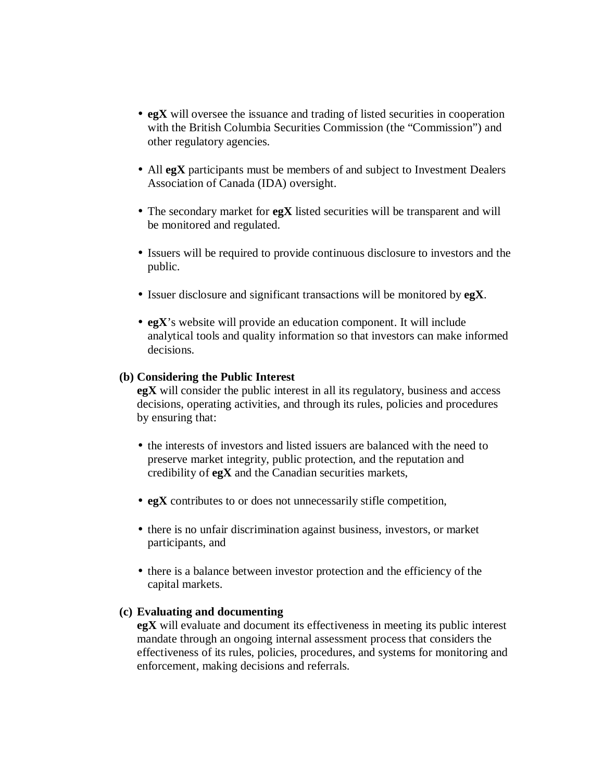- **egX** will oversee the issuance and trading of listed securities in cooperation with the British Columbia Securities Commission (the "Commission") and other regulatory agencies.
- All **egX** participants must be members of and subject to Investment Dealers Association of Canada (IDA) oversight.
- The secondary market for **egX** listed securities will be transparent and will be monitored and regulated.
- Issuers will be required to provide continuous disclosure to investors and the public.
- Issuer disclosure and significant transactions will be monitored by **egX**.
- **egX**'s website will provide an education component. It will include analytical tools and quality information so that investors can make informed decisions.

#### **(b) Considering the Public Interest**

**egX** will consider the public interest in all its regulatory, business and access decisions, operating activities, and through its rules, policies and procedures by ensuring that:

- the interests of investors and listed issuers are balanced with the need to preserve market integrity, public protection, and the reputation and credibility of **egX** and the Canadian securities markets,
- **egX** contributes to or does not unnecessarily stifle competition,
- there is no unfair discrimination against business, investors, or market participants, and
- there is a balance between investor protection and the efficiency of the capital markets.

## **(c) Evaluating and documenting**

**egX** will evaluate and document its effectiveness in meeting its public interest mandate through an ongoing internal assessment process that considers the effectiveness of its rules, policies, procedures, and systems for monitoring and enforcement, making decisions and referrals.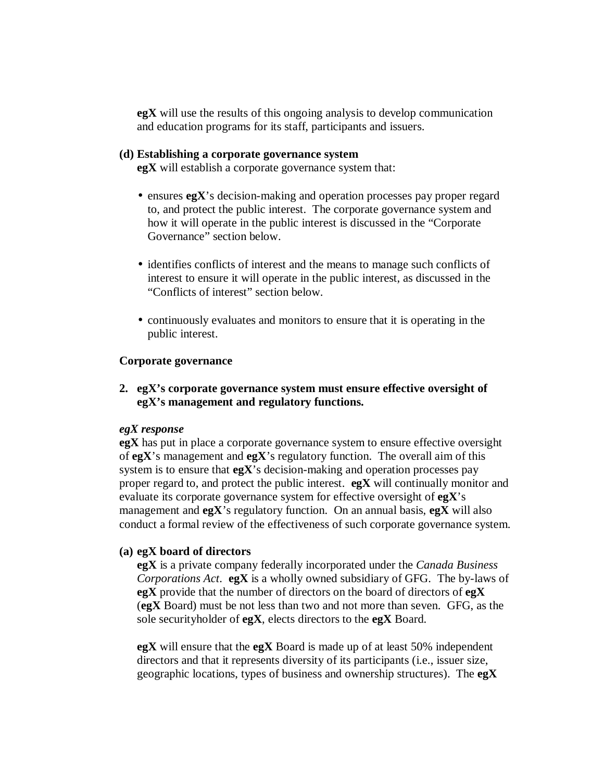**egX** will use the results of this ongoing analysis to develop communication and education programs for its staff, participants and issuers.

#### **(d) Establishing a corporate governance system**

**egX** will establish a corporate governance system that:

- ensures **egX**'s decision-making and operation processes pay proper regard to, and protect the public interest. The corporate governance system and how it will operate in the public interest is discussed in the "Corporate Governance" section below.
- identifies conflicts of interest and the means to manage such conflicts of interest to ensure it will operate in the public interest, as discussed in the "Conflicts of interest" section below.
- continuously evaluates and monitors to ensure that it is operating in the public interest.

## **Corporate governance**

**2. egX's corporate governance system must ensure effective oversight of egX's management and regulatory functions.**

## *egX response*

**egX** has put in place a corporate governance system to ensure effective oversight of **egX**'s management and **egX**'s regulatory function. The overall aim of this system is to ensure that **egX**'s decision-making and operation processes pay proper regard to, and protect the public interest. **egX** will continually monitor and evaluate its corporate governance system for effective oversight of **egX**'s management and **egX**'s regulatory function. On an annual basis, **egX** will also conduct a formal review of the effectiveness of such corporate governance system.

## **(a) egX board of directors**

**egX** is a private company federally incorporated under the *Canada Business Corporations Act*. **egX** is a wholly owned subsidiary of GFG. The by-laws of **egX** provide that the number of directors on the board of directors of **egX** (**egX** Board) must be not less than two and not more than seven. GFG, as the sole securityholder of **egX**, elects directors to the **egX** Board.

**egX** will ensure that the **egX** Board is made up of at least 50% independent directors and that it represents diversity of its participants (i.e., issuer size, geographic locations, types of business and ownership structures). The **egX**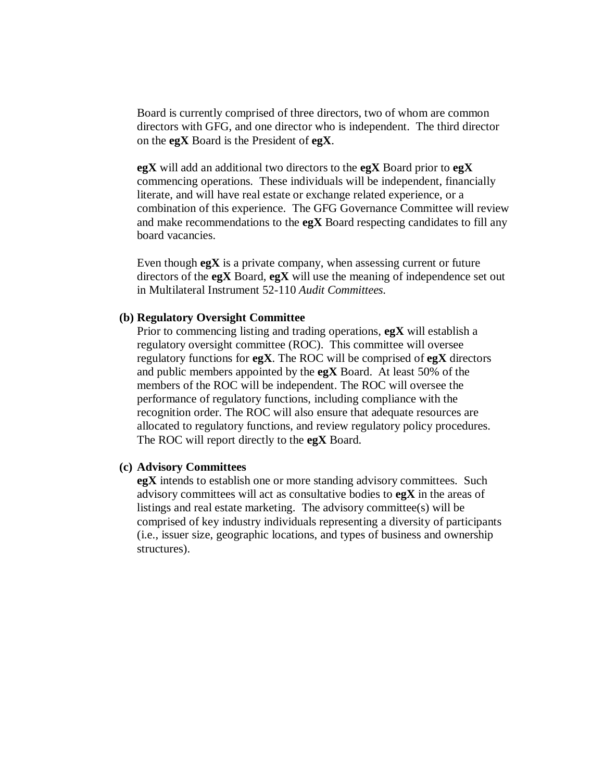Board is currently comprised of three directors, two of whom are common directors with GFG, and one director who is independent. The third director on the **egX** Board is the President of **egX**.

**egX** will add an additional two directors to the **egX** Board prior to **egX** commencing operations. These individuals will be independent, financially literate, and will have real estate or exchange related experience, or a combination of this experience. The GFG Governance Committee will review and make recommendations to the **egX** Board respecting candidates to fill any board vacancies.

Even though **egX** is a private company, when assessing current or future directors of the **egX** Board, **egX** will use the meaning of independence set out in Multilateral Instrument 52-110 *Audit Committees*.

#### **(b) Regulatory Oversight Committee**

Prior to commencing listing and trading operations, **egX** will establish a regulatory oversight committee (ROC). This committee will oversee regulatory functions for **egX**. The ROC will be comprised of **egX** directors and public members appointed by the **egX** Board. At least 50% of the members of the ROC will be independent. The ROC will oversee the performance of regulatory functions, including compliance with the recognition order. The ROC will also ensure that adequate resources are allocated to regulatory functions, and review regulatory policy procedures. The ROC will report directly to the **egX** Board.

#### **(c) Advisory Committees**

**egX** intends to establish one or more standing advisory committees. Such advisory committees will act as consultative bodies to **egX** in the areas of listings and real estate marketing. The advisory committee(s) will be comprised of key industry individuals representing a diversity of participants (i.e., issuer size, geographic locations, and types of business and ownership structures).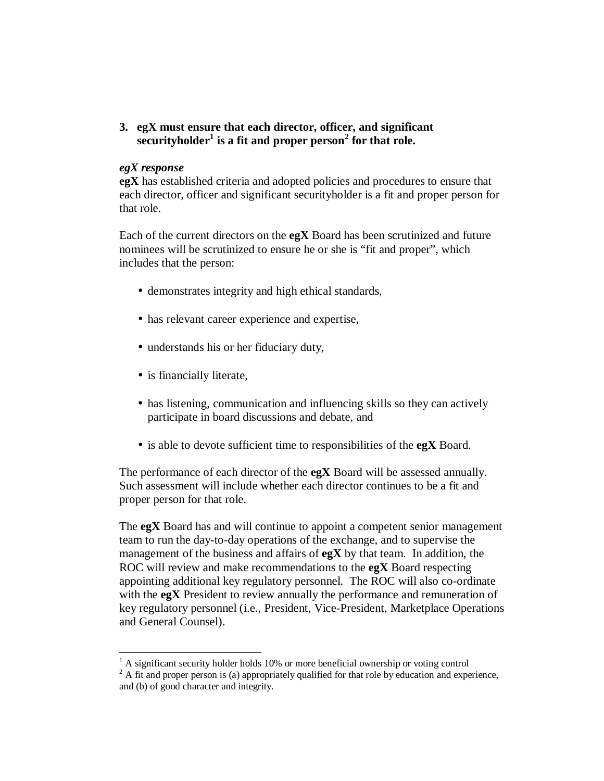**3. egX must ensure that each director, officer, and significant securityholder<sup>1</sup> is a fit and proper person<sup>2</sup> for that role.**

#### *egX response*

**egX** has established criteria and adopted policies and procedures to ensure that each director, officer and significant securityholder is a fit and proper person for that role.

Each of the current directors on the **egX** Board has been scrutinized and future nominees will be scrutinized to ensure he or she is "fit and proper", which includes that the person:

- demonstrates integrity and high ethical standards,
- has relevant career experience and expertise,
- understands his or her fiduciary duty,
- is financially literate,
- has listening, communication and influencing skills so they can actively participate in board discussions and debate, and
- is able to devote sufficient time to responsibilities of the **egX** Board.

The performance of each director of the **egX** Board will be assessed annually. Such assessment will include whether each director continues to be a fit and proper person for that role.

The **egX** Board has and will continue to appoint a competent senior management team to run the day-to-day operations of the exchange, and to supervise the management of the business and affairs of **egX** by that team. In addition, the ROC will review and make recommendations to the **egX** Board respecting appointing additional key regulatory personnel. The ROC will also co-ordinate with the **egX** President to review annually the performance and remuneration of key regulatory personnel (i.e., President, Vice-President, Marketplace Operations and General Counsel).

<sup>-</sup> $<sup>1</sup>$  A significant security holder holds 10% or more beneficial ownership or voting control</sup>

 $2 A$  fit and proper person is (a) appropriately qualified for that role by education and experience, and (b) of good character and integrity.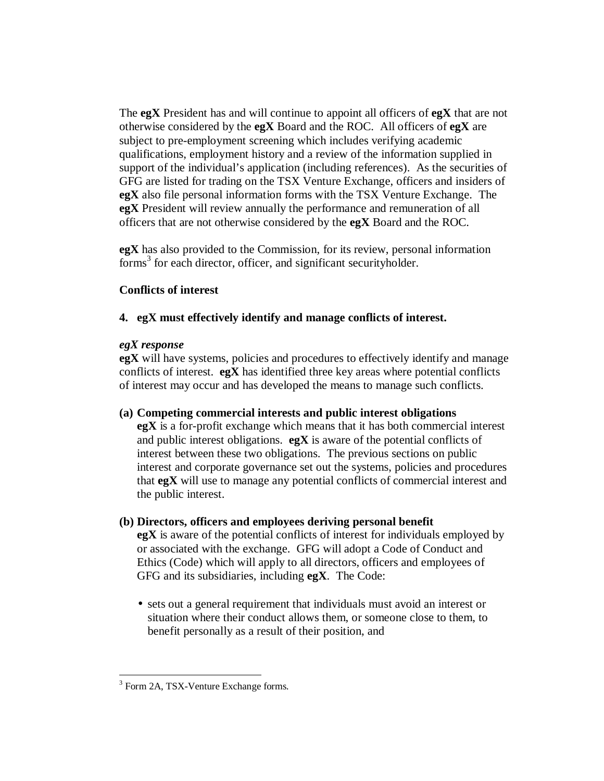The **egX** President has and will continue to appoint all officers of **egX** that are not otherwise considered by the **egX** Board and the ROC. All officers of **egX** are subject to pre-employment screening which includes verifying academic qualifications, employment history and a review of the information supplied in support of the individual's application (including references). As the securities of GFG are listed for trading on the TSX Venture Exchange, officers and insiders of **egX** also file personal information forms with the TSX Venture Exchange. The **egX** President will review annually the performance and remuneration of all officers that are not otherwise considered by the **egX** Board and the ROC.

**egX** has also provided to the Commission, for its review, personal information forms<sup>3</sup> for each director, officer, and significant securityholder.

## **Conflicts of interest**

## **4. egX must effectively identify and manage conflicts of interest.**

## *egX response*

**egX** will have systems, policies and procedures to effectively identify and manage conflicts of interest. **egX** has identified three key areas where potential conflicts of interest may occur and has developed the means to manage such conflicts.

## **(a) Competing commercial interests and public interest obligations**

**egX** is a for-profit exchange which means that it has both commercial interest and public interest obligations. **egX** is aware of the potential conflicts of interest between these two obligations. The previous sections on public interest and corporate governance set out the systems, policies and procedures that **egX** will use to manage any potential conflicts of commercial interest and the public interest.

## **(b) Directors, officers and employees deriving personal benefit**

**egX** is aware of the potential conflicts of interest for individuals employed by or associated with the exchange. GFG will adopt a Code of Conduct and Ethics (Code) which will apply to all directors, officers and employees of GFG and its subsidiaries, including **egX**. The Code:

• sets out a general requirement that individuals must avoid an interest or situation where their conduct allows them, or someone close to them, to benefit personally as a result of their position, and

 3 Form 2A, TSX-Venture Exchange forms.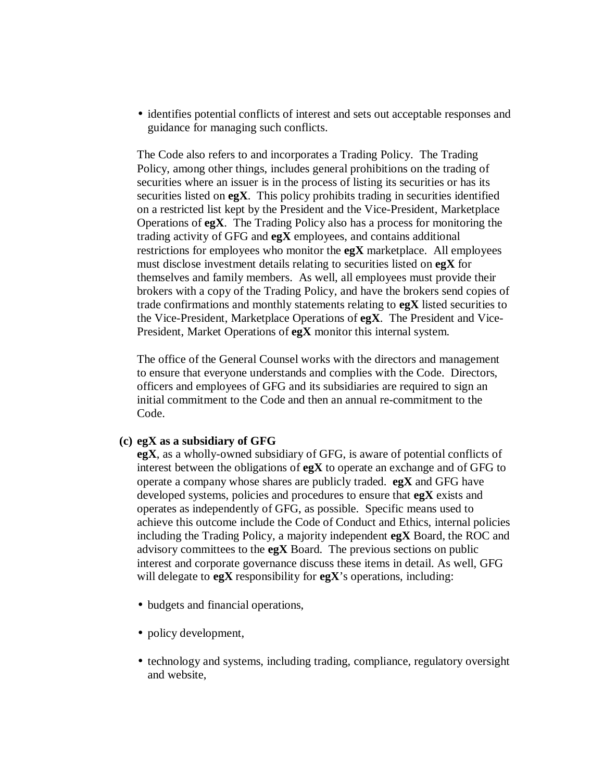• identifies potential conflicts of interest and sets out acceptable responses and guidance for managing such conflicts.

The Code also refers to and incorporates a Trading Policy. The Trading Policy, among other things, includes general prohibitions on the trading of securities where an issuer is in the process of listing its securities or has its securities listed on **egX**. This policy prohibits trading in securities identified on a restricted list kept by the President and the Vice-President, Marketplace Operations of **egX**. The Trading Policy also has a process for monitoring the trading activity of GFG and **egX** employees, and contains additional restrictions for employees who monitor the **egX** marketplace. All employees must disclose investment details relating to securities listed on **egX** for themselves and family members. As well, all employees must provide their brokers with a copy of the Trading Policy, and have the brokers send copies of trade confirmations and monthly statements relating to **egX** listed securities to the Vice-President, Marketplace Operations of **egX**. The President and Vice-President, Market Operations of **egX** monitor this internal system.

The office of the General Counsel works with the directors and management to ensure that everyone understands and complies with the Code. Directors, officers and employees of GFG and its subsidiaries are required to sign an initial commitment to the Code and then an annual re-commitment to the Code.

### **(c) egX as a subsidiary of GFG**

**egX**, as a wholly-owned subsidiary of GFG, is aware of potential conflicts of interest between the obligations of **egX** to operate an exchange and of GFG to operate a company whose shares are publicly traded. **egX** and GFG have developed systems, policies and procedures to ensure that **egX** exists and operates as independently of GFG, as possible. Specific means used to achieve this outcome include the Code of Conduct and Ethics, internal policies including the Trading Policy, a majority independent **egX** Board, the ROC and advisory committees to the **egX** Board. The previous sections on public interest and corporate governance discuss these items in detail. As well, GFG will delegate to **egX** responsibility for **egX**'s operations, including:

- budgets and financial operations,
- policy development,
- technology and systems, including trading, compliance, regulatory oversight and website,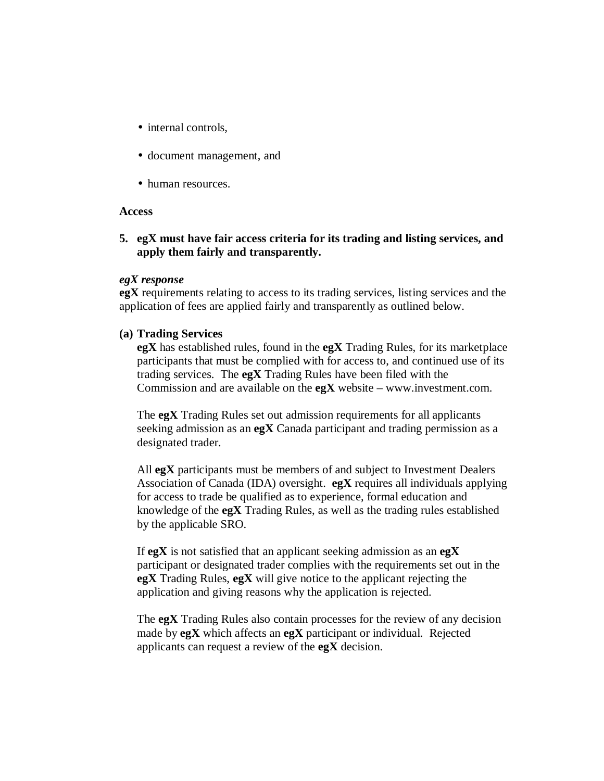- internal controls.
- document management, and
- human resources.

#### **Access**

**5. egX must have fair access criteria for its trading and listing services, and apply them fairly and transparently.** 

## *egX response*

**egX** requirements relating to access to its trading services, listing services and the application of fees are applied fairly and transparently as outlined below.

## **(a) Trading Services**

**egX** has established rules, found in the **egX** Trading Rules, for its marketplace participants that must be complied with for access to, and continued use of its trading services. The **egX** Trading Rules have been filed with the Commission and are available on the **egX** website – [www.investment.com](http://www.investment.com/).

The **egX** Trading Rules set out admission requirements for all applicants seeking admission as an **egX** Canada participant and trading permission as a designated trader.

All **egX** participants must be members of and subject to Investment Dealers Association of Canada (IDA) oversight. **egX** requires all individuals applying for access to trade be qualified as to experience, formal education and knowledge of the **egX** Trading Rules, as well as the trading rules established by the applicable SRO.

If **egX** is not satisfied that an applicant seeking admission as an **egX** participant or designated trader complies with the requirements set out in the **egX** Trading Rules, **egX** will give notice to the applicant rejecting the application and giving reasons why the application is rejected.

The **egX** Trading Rules also contain processes for the review of any decision made by **egX** which affects an **egX** participant or individual. Rejected applicants can request a review of the **egX** decision.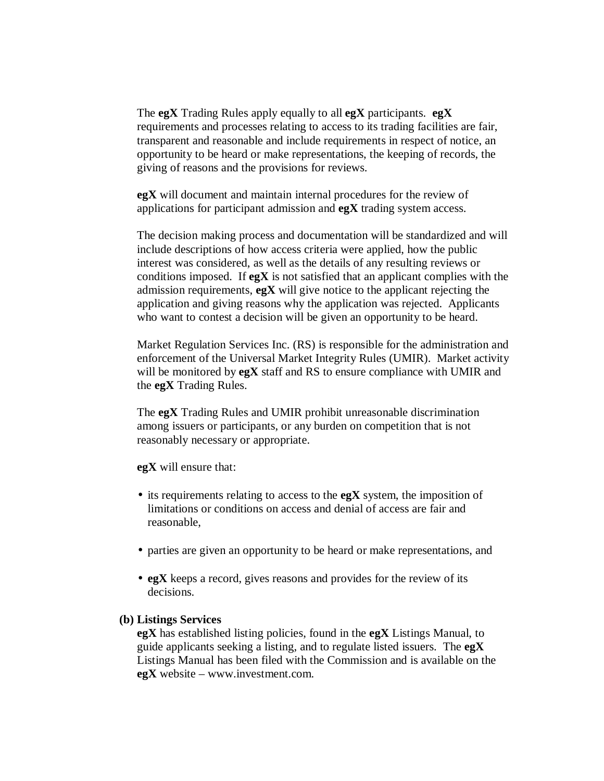The **egX** Trading Rules apply equally to all **egX** participants. **egX** requirements and processes relating to access to its trading facilities are fair, transparent and reasonable and include requirements in respect of notice, an opportunity to be heard or make representations, the keeping of records, the giving of reasons and the provisions for reviews.

**egX** will document and maintain internal procedures for the review of applications for participant admission and **egX** trading system access.

The decision making process and documentation will be standardized and will include descriptions of how access criteria were applied, how the public interest was considered, as well as the details of any resulting reviews or conditions imposed. If **egX** is not satisfied that an applicant complies with the admission requirements, **egX** will give notice to the applicant rejecting the application and giving reasons why the application was rejected. Applicants who want to contest a decision will be given an opportunity to be heard.

Market Regulation Services Inc. (RS) is responsible for the administration and enforcement of the Universal Market Integrity Rules (UMIR). Market activity will be monitored by **egX** staff and RS to ensure compliance with UMIR and the **egX** Trading Rules.

The **egX** Trading Rules and UMIR prohibit unreasonable discrimination among issuers or participants, or any burden on competition that is not reasonably necessary or appropriate.

**egX** will ensure that:

- its requirements relating to access to the **egX** system, the imposition of limitations or conditions on access and denial of access are fair and reasonable,
- parties are given an opportunity to be heard or make representations, and
- **egX** keeps a record, gives reasons and provides for the review of its decisions.

#### **(b) Listings Services**

**egX** has established listing policies, found in the **egX** Listings Manual, to guide applicants seeking a listing, and to regulate listed issuers. The **egX** Listings Manual has been filed with the Commission and is available on the **egX** website – [www.investment.com.](http://www.investment.com/)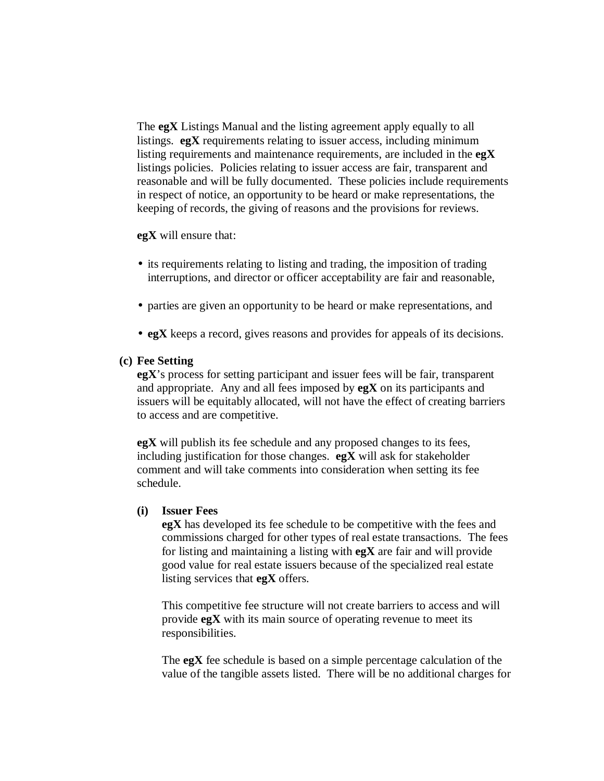The **egX** Listings Manual and the listing agreement apply equally to all listings. **egX** requirements relating to issuer access, including minimum listing requirements and maintenance requirements, are included in the **egX** listings policies. Policies relating to issuer access are fair, transparent and reasonable and will be fully documented. These policies include requirements in respect of notice, an opportunity to be heard or make representations, the keeping of records, the giving of reasons and the provisions for reviews.

**egX** will ensure that:

- its requirements relating to listing and trading, the imposition of trading interruptions, and director or officer acceptability are fair and reasonable,
- parties are given an opportunity to be heard or make representations, and
- **egX** keeps a record, gives reasons and provides for appeals of its decisions.

#### **(c) Fee Setting**

**egX**'s process for setting participant and issuer fees will be fair, transparent and appropriate. Any and all fees imposed by **egX** on its participants and issuers will be equitably allocated, will not have the effect of creating barriers to access and are competitive.

**egX** will publish its fee schedule and any proposed changes to its fees, including justification for those changes. **egX** will ask for stakeholder comment and will take comments into consideration when setting its fee schedule.

#### **(i) Issuer Fees**

**egX** has developed its fee schedule to be competitive with the fees and commissions charged for other types of real estate transactions. The fees for listing and maintaining a listing with **egX** are fair and will provide good value for real estate issuers because of the specialized real estate listing services that **egX** offers.

This competitive fee structure will not create barriers to access and will provide **egX** with its main source of operating revenue to meet its responsibilities.

The **egX** fee schedule is based on a simple percentage calculation of the value of the tangible assets listed. There will be no additional charges for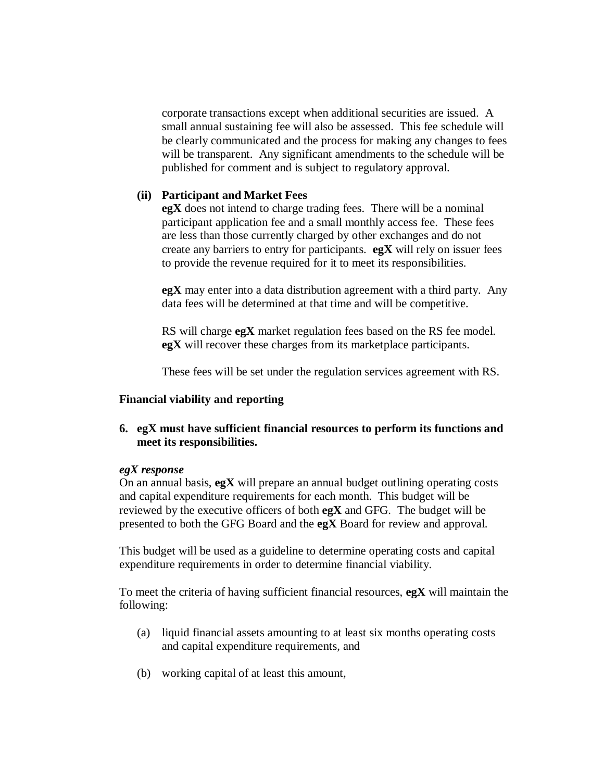corporate transactions except when additional securities are issued. A small annual sustaining fee will also be assessed. This fee schedule will be clearly communicated and the process for making any changes to fees will be transparent. Any significant amendments to the schedule will be published for comment and is subject to regulatory approval.

## **(ii) Participant and Market Fees**

**egX** does not intend to charge trading fees. There will be a nominal participant application fee and a small monthly access fee. These fees are less than those currently charged by other exchanges and do not create any barriers to entry for participants. **egX** will rely on issuer fees to provide the revenue required for it to meet its responsibilities.

**egX** may enter into a data distribution agreement with a third party. Any data fees will be determined at that time and will be competitive.

RS will charge **egX** market regulation fees based on the RS fee model. **egX** will recover these charges from its marketplace participants.

These fees will be set under the regulation services agreement with RS.

## **Financial viability and reporting**

## **6. egX must have sufficient financial resources to perform its functions and meet its responsibilities.**

#### *egX response*

On an annual basis, **egX** will prepare an annual budget outlining operating costs and capital expenditure requirements for each month. This budget will be reviewed by the executive officers of both **egX** and GFG. The budget will be presented to both the GFG Board and the **egX** Board for review and approval.

This budget will be used as a guideline to determine operating costs and capital expenditure requirements in order to determine financial viability.

To meet the criteria of having sufficient financial resources, **egX** will maintain the following:

- (a) liquid financial assets amounting to at least six months operating costs and capital expenditure requirements, and
- (b) working capital of at least this amount,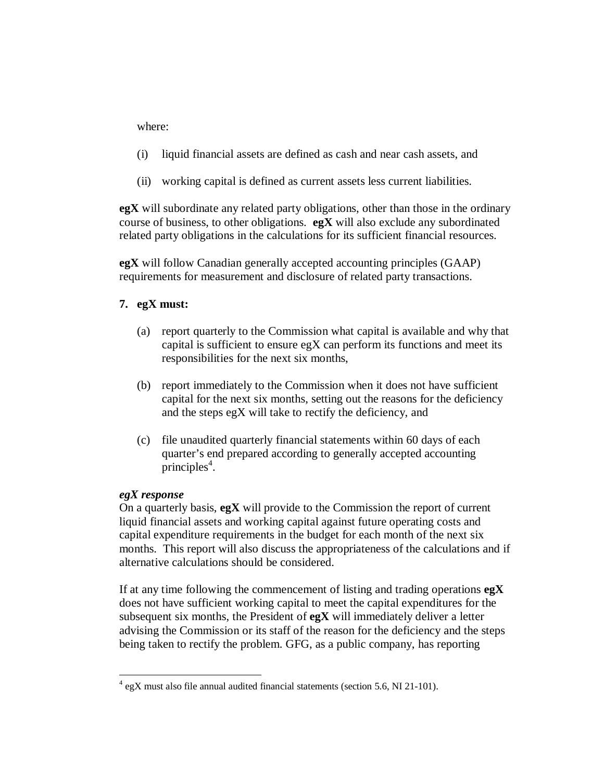where:

- (i) liquid financial assets are defined as cash and near cash assets, and
- (ii) working capital is defined as current assets less current liabilities.

**egX** will subordinate any related party obligations, other than those in the ordinary course of business, to other obligations. **egX** will also exclude any subordinated related party obligations in the calculations for its sufficient financial resources.

**egX** will follow Canadian generally accepted accounting principles (GAAP) requirements for measurement and disclosure of related party transactions.

## **7. egX must:**

- (a) report quarterly to the Commission what capital is available and why that capital is sufficient to ensure  $egX$  can perform its functions and meet its responsibilities for the next six months,
- (b) report immediately to the Commission when it does not have sufficient capital for the next six months, setting out the reasons for the deficiency and the steps egX will take to rectify the deficiency, and
- (c) file unaudited quarterly financial statements within 60 days of each quarter's end prepared according to generally accepted accounting  $principles<sup>4</sup>$ .

## *egX response*

On a quarterly basis, **egX** will provide to the Commission the report of current liquid financial assets and working capital against future operating costs and capital expenditure requirements in the budget for each month of the next six months. This report will also discuss the appropriateness of the calculations and if alternative calculations should be considered.

If at any time following the commencement of listing and trading operations **egX** does not have sufficient working capital to meet the capital expenditures for the subsequent six months, the President of **egX** will immediately deliver a letter advising the Commission or its staff of the reason for the deficiency and the steps being taken to rectify the problem. GFG, as a public company, has reporting

<sup>&</sup>lt;u>.</u> <sup>4</sup> egX must also file annual audited financial statements (section 5.6, NI 21-101).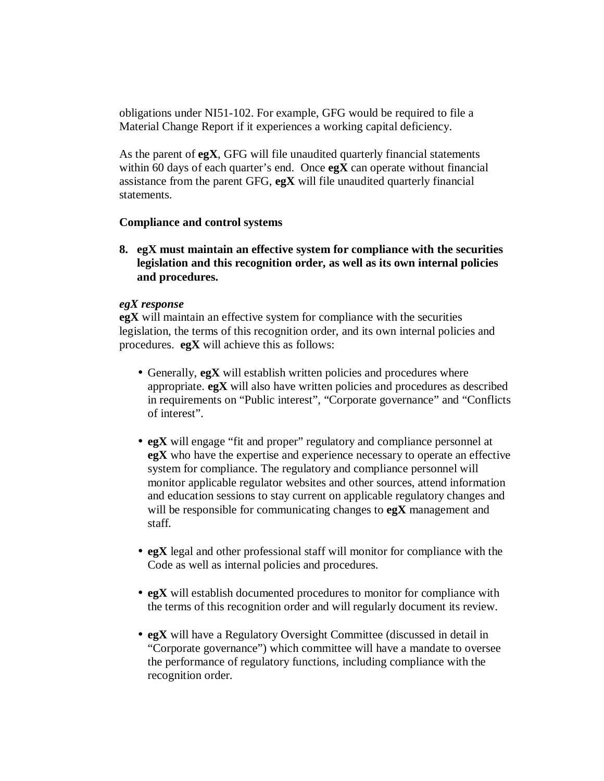obligations under NI51-102. For example, GFG would be required to file a Material Change Report if it experiences a working capital deficiency.

As the parent of **egX**, GFG will file unaudited quarterly financial statements within 60 days of each quarter's end. Once **egX** can operate without financial assistance from the parent GFG, **egX** will file unaudited quarterly financial statements.

## **Compliance and control systems**

**8. egX must maintain an effective system for compliance with the securities legislation and this recognition order, as well as its own internal policies and procedures.**

## *egX response*

**egX** will maintain an effective system for compliance with the securities legislation, the terms of this recognition order, and its own internal policies and procedures. **egX** will achieve this as follows:

- Generally, **egX** will establish written policies and procedures where appropriate. **egX** will also have written policies and procedures as described in requirements on "Public interest", "Corporate governance" and "Conflicts of interest".
- **egX** will engage "fit and proper" regulatory and compliance personnel at **egX** who have the expertise and experience necessary to operate an effective system for compliance. The regulatory and compliance personnel will monitor applicable regulator websites and other sources, attend information and education sessions to stay current on applicable regulatory changes and will be responsible for communicating changes to **egX** management and staff.
- **egX** legal and other professional staff will monitor for compliance with the Code as well as internal policies and procedures.
- **egX** will establish documented procedures to monitor for compliance with the terms of this recognition order and will regularly document its review.
- **egX** will have a Regulatory Oversight Committee (discussed in detail in "Corporate governance") which committee will have a mandate to oversee the performance of regulatory functions, including compliance with the recognition order.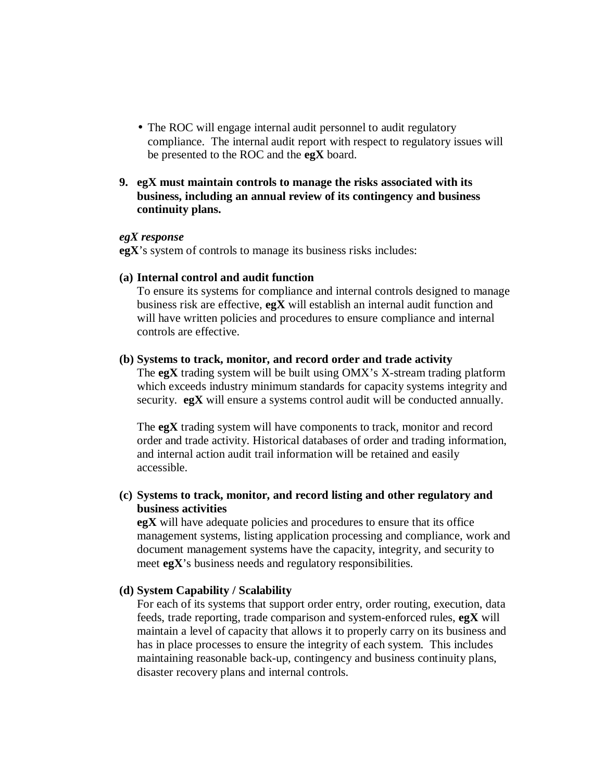- The ROC will engage internal audit personnel to audit regulatory compliance. The internal audit report with respect to regulatory issues will be presented to the ROC and the **egX** board.
- **9. egX must maintain controls to manage the risks associated with its business, including an annual review of its contingency and business continuity plans.**

#### *egX response*

**egX**'s system of controls to manage its business risks includes:

#### **(a) Internal control and audit function**

To ensure its systems for compliance and internal controls designed to manage business risk are effective, **egX** will establish an internal audit function and will have written policies and procedures to ensure compliance and internal controls are effective.

#### **(b) Systems to track, monitor, and record order and trade activity**

The **egX** trading system will be built using OMX's X-stream trading platform which exceeds industry minimum standards for capacity systems integrity and security. **egX** will ensure a systems control audit will be conducted annually.

The **egX** trading system will have components to track, monitor and record order and trade activity. Historical databases of order and trading information, and internal action audit trail information will be retained and easily accessible.

## **(c) Systems to track, monitor, and record listing and other regulatory and business activities**

**egX** will have adequate policies and procedures to ensure that its office management systems, listing application processing and compliance, work and document management systems have the capacity, integrity, and security to meet **egX**'s business needs and regulatory responsibilities.

## **(d) System Capability / Scalability**

For each of its systems that support order entry, order routing, execution, data feeds, trade reporting, trade comparison and system-enforced rules, **egX** will maintain a level of capacity that allows it to properly carry on its business and has in place processes to ensure the integrity of each system. This includes maintaining reasonable back-up, contingency and business continuity plans, disaster recovery plans and internal controls.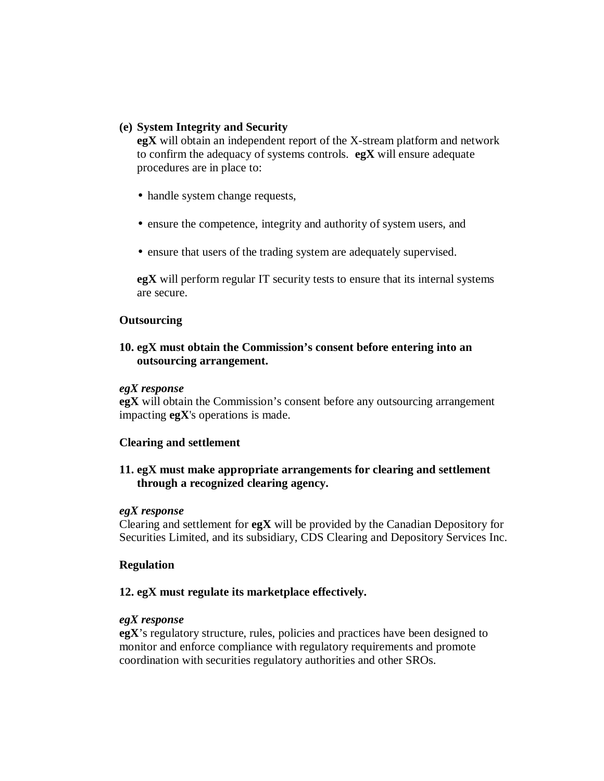## **(e) System Integrity and Security**

**egX** will obtain an independent report of the X-stream platform and network to confirm the adequacy of systems controls. **egX** will ensure adequate procedures are in place to:

- handle system change requests,
- ensure the competence, integrity and authority of system users, and
- ensure that users of the trading system are adequately supervised.

**egX** will perform regular IT security tests to ensure that its internal systems are secure.

## **Outsourcing**

## **10. egX must obtain the Commission's consent before entering into an outsourcing arrangement.**

#### *egX response*

**egX** will obtain the Commission's consent before any outsourcing arrangement impacting **egX**'s operations is made.

#### **Clearing and settlement**

**11. egX must make appropriate arrangements for clearing and settlement through a recognized clearing agency.** 

#### *egX response*

Clearing and settlement for **egX** will be provided by the Canadian Depository for Securities Limited, and its subsidiary, CDS Clearing and Depository Services Inc.

## **Regulation**

#### **12. egX must regulate its marketplace effectively.**

## *egX response*

**egX**'s regulatory structure, rules, policies and practices have been designed to monitor and enforce compliance with regulatory requirements and promote coordination with securities regulatory authorities and other SROs.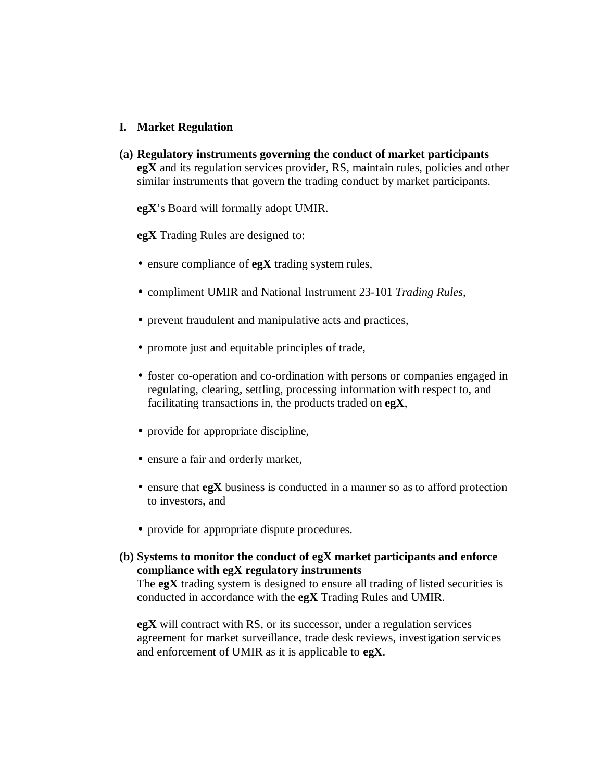## **I. Market Regulation**

**(a) Regulatory instruments governing the conduct of market participants egX** and its regulation services provider, RS, maintain rules, policies and other similar instruments that govern the trading conduct by market participants.

**egX**'s Board will formally adopt UMIR.

**egX** Trading Rules are designed to:

- ensure compliance of **egX** trading system rules,
- compliment UMIR and National Instrument 23-101 *Trading Rules*,
- prevent fraudulent and manipulative acts and practices,
- promote just and equitable principles of trade,
- foster co-operation and co-ordination with persons or companies engaged in regulating, clearing, settling, processing information with respect to, and facilitating transactions in, the products traded on **egX**,
- provide for appropriate discipline,
- ensure a fair and orderly market,
- ensure that **egX** business is conducted in a manner so as to afford protection to investors, and
- provide for appropriate dispute procedures.
- **(b) Systems to monitor the conduct of egX market participants and enforce compliance with egX regulatory instruments**

The **egX** trading system is designed to ensure all trading of listed securities is conducted in accordance with the **egX** Trading Rules and UMIR.

**egX** will contract with RS, or its successor, under a regulation services agreement for market surveillance, trade desk reviews, investigation services and enforcement of UMIR as it is applicable to **egX**.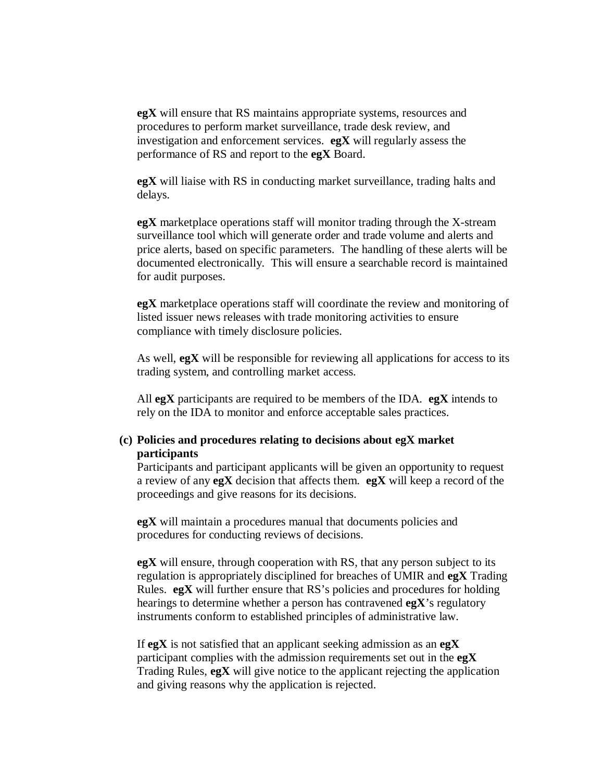**egX** will ensure that RS maintains appropriate systems, resources and procedures to perform market surveillance, trade desk review, and investigation and enforcement services. **egX** will regularly assess the performance of RS and report to the **egX** Board.

**egX** will liaise with RS in conducting market surveillance, trading halts and delays.

**egX** marketplace operations staff will monitor trading through the X-stream surveillance tool which will generate order and trade volume and alerts and price alerts, based on specific parameters. The handling of these alerts will be documented electronically. This will ensure a searchable record is maintained for audit purposes.

**egX** marketplace operations staff will coordinate the review and monitoring of listed issuer news releases with trade monitoring activities to ensure compliance with timely disclosure policies.

As well, **egX** will be responsible for reviewing all applications for access to its trading system, and controlling market access.

All **egX** participants are required to be members of the IDA. **egX** intends to rely on the IDA to monitor and enforce acceptable sales practices.

## **(c) Policies and procedures relating to decisions about egX market participants**

Participants and participant applicants will be given an opportunity to request a review of any **egX** decision that affects them. **egX** will keep a record of the proceedings and give reasons for its decisions.

**egX** will maintain a procedures manual that documents policies and procedures for conducting reviews of decisions.

**egX** will ensure, through cooperation with RS, that any person subject to its regulation is appropriately disciplined for breaches of UMIR and **egX** Trading Rules. **egX** will further ensure that RS's policies and procedures for holding hearings to determine whether a person has contravened **egX**'s regulatory instruments conform to established principles of administrative law.

If **egX** is not satisfied that an applicant seeking admission as an **egX** participant complies with the admission requirements set out in the **egX** Trading Rules, **egX** will give notice to the applicant rejecting the application and giving reasons why the application is rejected.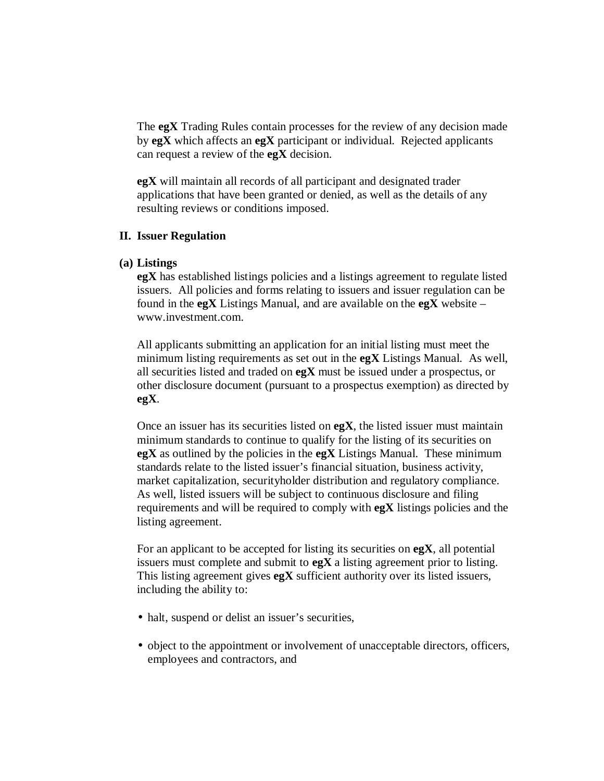The **egX** Trading Rules contain processes for the review of any decision made by **egX** which affects an **egX** participant or individual. Rejected applicants can request a review of the **egX** decision.

**egX** will maintain all records of all participant and designated trader applications that have been granted or denied, as well as the details of any resulting reviews or conditions imposed.

## **II. Issuer Regulation**

## **(a) Listings**

**egX** has established listings policies and a listings agreement to regulate listed issuers. All policies and forms relating to issuers and issuer regulation can be found in the **egX** Listings Manual, and are available on the **egX** website – [www.investment.com](http://www.investment.com/).

All applicants submitting an application for an initial listing must meet the minimum listing requirements as set out in the **egX** Listings Manual. As well, all securities listed and traded on **egX** must be issued under a prospectus, or other disclosure document (pursuant to a prospectus exemption) as directed by **egX**.

Once an issuer has its securities listed on **egX**, the listed issuer must maintain minimum standards to continue to qualify for the listing of its securities on **egX** as outlined by the policies in the **egX** Listings Manual. These minimum standards relate to the listed issuer's financial situation, business activity, market capitalization, securityholder distribution and regulatory compliance. As well, listed issuers will be subject to continuous disclosure and filing requirements and will be required to comply with **egX** listings policies and the listing agreement.

For an applicant to be accepted for listing its securities on **egX**, all potential issuers must complete and submit to **egX** a listing agreement prior to listing. This listing agreement gives **egX** sufficient authority over its listed issuers, including the ability to:

- halt, suspend or delist an issuer's securities,
- object to the appointment or involvement of unacceptable directors, officers, employees and contractors, and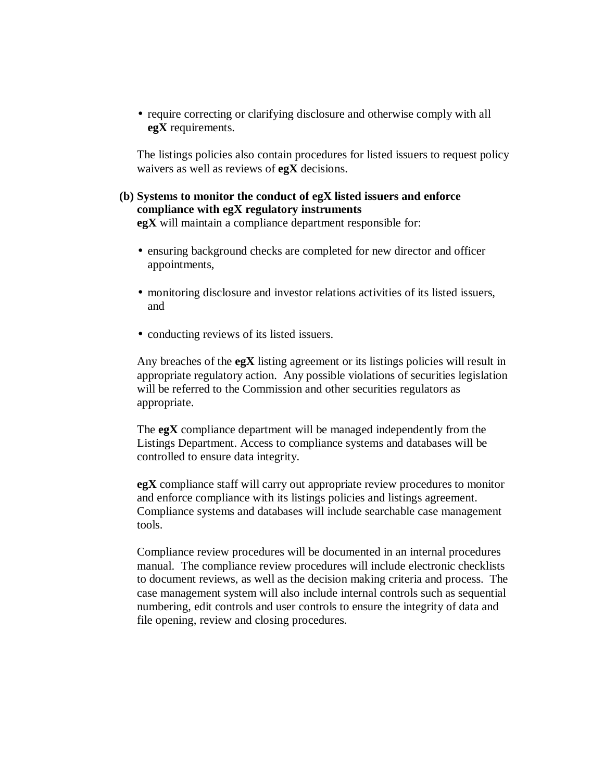• require correcting or clarifying disclosure and otherwise comply with all **egX** requirements.

The listings policies also contain procedures for listed issuers to request policy waivers as well as reviews of **egX** decisions.

## **(b) Systems to monitor the conduct of egX listed issuers and enforce compliance with egX regulatory instruments**

**egX** will maintain a compliance department responsible for:

- ensuring background checks are completed for new director and officer appointments,
- monitoring disclosure and investor relations activities of its listed issuers, and
- conducting reviews of its listed issuers.

Any breaches of the **egX** listing agreement or its listings policies will result in appropriate regulatory action. Any possible violations of securities legislation will be referred to the Commission and other securities regulators as appropriate.

The **egX** compliance department will be managed independently from the Listings Department. Access to compliance systems and databases will be controlled to ensure data integrity.

**egX** compliance staff will carry out appropriate review procedures to monitor and enforce compliance with its listings policies and listings agreement. Compliance systems and databases will include searchable case management tools.

Compliance review procedures will be documented in an internal procedures manual. The compliance review procedures will include electronic checklists to document reviews, as well as the decision making criteria and process. The case management system will also include internal controls such as sequential numbering, edit controls and user controls to ensure the integrity of data and file opening, review and closing procedures.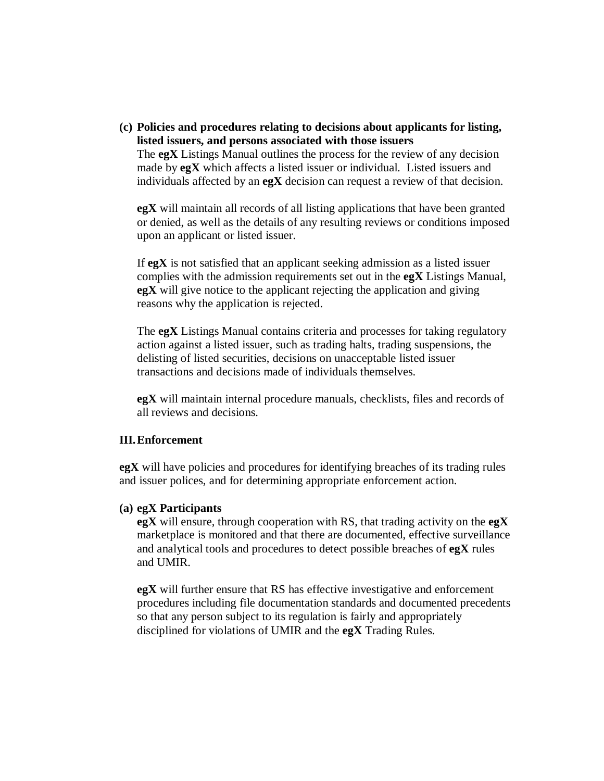**(c) Policies and procedures relating to decisions about applicants for listing, listed issuers, and persons associated with those issuers**

The **egX** Listings Manual outlines the process for the review of any decision made by **egX** which affects a listed issuer or individual. Listed issuers and individuals affected by an **egX** decision can request a review of that decision.

**egX** will maintain all records of all listing applications that have been granted or denied, as well as the details of any resulting reviews or conditions imposed upon an applicant or listed issuer.

If **egX** is not satisfied that an applicant seeking admission as a listed issuer complies with the admission requirements set out in the **egX** Listings Manual, **egX** will give notice to the applicant rejecting the application and giving reasons why the application is rejected.

The **egX** Listings Manual contains criteria and processes for taking regulatory action against a listed issuer, such as trading halts, trading suspensions, the delisting of listed securities, decisions on unacceptable listed issuer transactions and decisions made of individuals themselves.

**egX** will maintain internal procedure manuals, checklists, files and records of all reviews and decisions.

## **III.Enforcement**

**egX** will have policies and procedures for identifying breaches of its trading rules and issuer polices, and for determining appropriate enforcement action.

#### **(a) egX Participants**

**egX** will ensure, through cooperation with RS, that trading activity on the **egX** marketplace is monitored and that there are documented, effective surveillance and analytical tools and procedures to detect possible breaches of **egX** rules and UMIR.

**egX** will further ensure that RS has effective investigative and enforcement procedures including file documentation standards and documented precedents so that any person subject to its regulation is fairly and appropriately disciplined for violations of UMIR and the **egX** Trading Rules.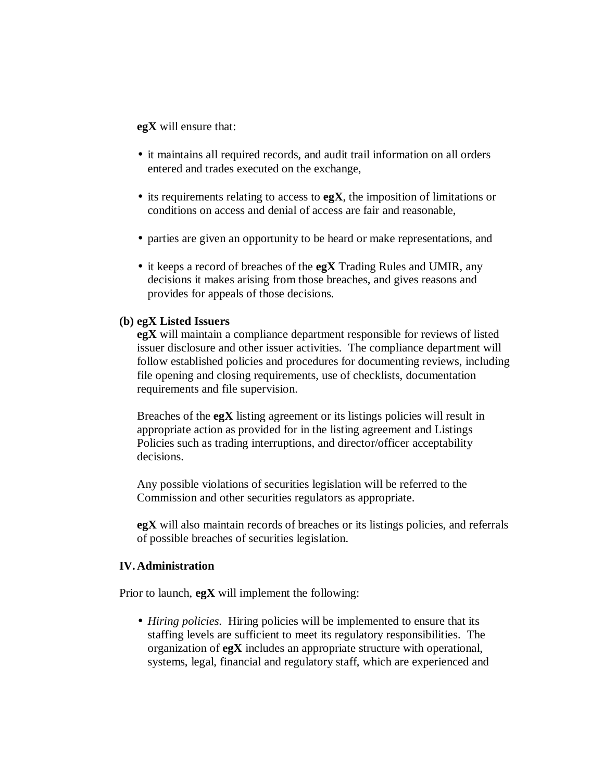**egX** will ensure that:

- it maintains all required records, and audit trail information on all orders entered and trades executed on the exchange,
- its requirements relating to access to **egX**, the imposition of limitations or conditions on access and denial of access are fair and reasonable,
- parties are given an opportunity to be heard or make representations, and
- it keeps a record of breaches of the **egX** Trading Rules and UMIR, any decisions it makes arising from those breaches, and gives reasons and provides for appeals of those decisions.

## **(b) egX Listed Issuers**

**egX** will maintain a compliance department responsible for reviews of listed issuer disclosure and other issuer activities. The compliance department will follow established policies and procedures for documenting reviews, including file opening and closing requirements, use of checklists, documentation requirements and file supervision.

Breaches of the **egX** listing agreement or its listings policies will result in appropriate action as provided for in the listing agreement and Listings Policies such as trading interruptions, and director/officer acceptability decisions.

Any possible violations of securities legislation will be referred to the Commission and other securities regulators as appropriate.

**egX** will also maintain records of breaches or its listings policies, and referrals of possible breaches of securities legislation.

#### **IV. Administration**

Prior to launch, **egX** will implement the following:

• *Hiring policies*. Hiring policies will be implemented to ensure that its staffing levels are sufficient to meet its regulatory responsibilities. The organization of **egX** includes an appropriate structure with operational, systems, legal, financial and regulatory staff, which are experienced and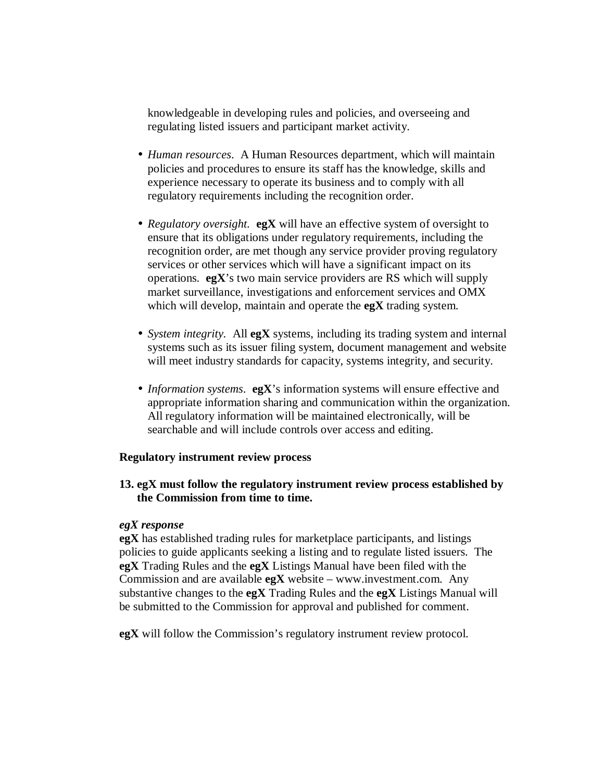knowledgeable in developing rules and policies, and overseeing and regulating listed issuers and participant market activity.

- *Human resources*. A Human Resources department, which will maintain policies and procedures to ensure its staff has the knowledge, skills and experience necessary to operate its business and to comply with all regulatory requirements including the recognition order.
- *Regulatory oversight.* **egX** will have an effective system of oversight to ensure that its obligations under regulatory requirements, including the recognition order, are met though any service provider proving regulatory services or other services which will have a significant impact on its operations. **egX**'s two main service providers are RS which will supply market surveillance, investigations and enforcement services and OMX which will develop, maintain and operate the **egX** trading system.
- *System integrity.* All **egX** systems, including its trading system and internal systems such as its issuer filing system, document management and website will meet industry standards for capacity, systems integrity, and security.
- *Information systems*. **egX**'s information systems will ensure effective and appropriate information sharing and communication within the organization. All regulatory information will be maintained electronically, will be searchable and will include controls over access and editing.

## **Regulatory instrument review process**

## **13. egX must follow the regulatory instrument review process established by the Commission from time to time.**

## *egX response*

**egX** has established trading rules for marketplace participants, and listings policies to guide applicants seeking a listing and to regulate listed issuers. The **egX** Trading Rules and the **egX** Listings Manual have been filed with the Commission and are available **egX** website – [www.investment.com](http://www.investment.com/). Any substantive changes to the **egX** Trading Rules and the **egX** Listings Manual will be submitted to the Commission for approval and published for comment.

**egX** will follow the Commission's regulatory instrument review protocol.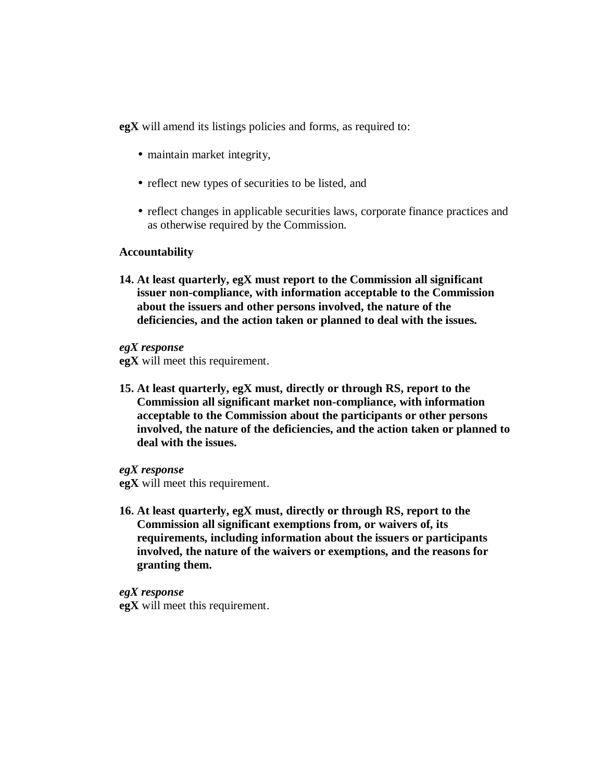**egX** will amend its listings policies and forms, as required to:

- maintain market integrity,
- reflect new types of securities to be listed, and
- reflect changes in applicable securities laws, corporate finance practices and as otherwise required by the Commission.

#### **Accountability**

**14. At least quarterly, egX must report to the Commission all significant issuer non-compliance, with information acceptable to the Commission about the issuers and other persons involved, the nature of the deficiencies, and the action taken or planned to deal with the issues.**

*egX response*

**egX** will meet this requirement.

**15. At least quarterly, egX must, directly or through RS, report to the Commission all significant market non-compliance, with information acceptable to the Commission about the participants or other persons involved, the nature of the deficiencies, and the action taken or planned to deal with the issues.**

*egX response* **egX** will meet this requirement.

**16. At least quarterly, egX must, directly or through RS, report to the Commission all significant exemptions from, or waivers of, its requirements, including information about the issuers or participants involved, the nature of the waivers or exemptions, and the reasons for granting them.**

*egX response* **egX** will meet this requirement.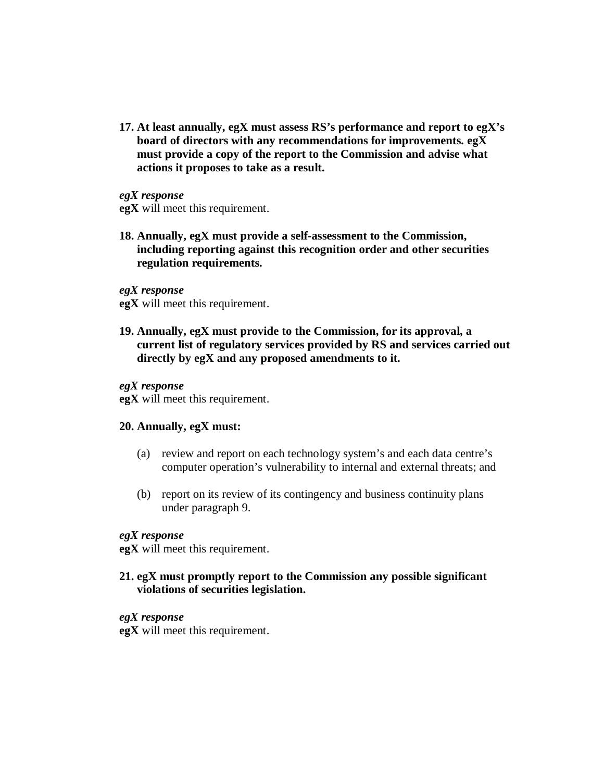**17. At least annually, egX must assess RS's performance and report to egX's board of directors with any recommendations for improvements. egX must provide a copy of the report to the Commission and advise what actions it proposes to take as a result.**

*egX response* **egX** will meet this requirement.

**18. Annually, egX must provide a self-assessment to the Commission, including reporting against this recognition order and other securities regulation requirements.**

*egX response*

**egX** will meet this requirement.

**19. Annually, egX must provide to the Commission, for its approval, a current list of regulatory services provided by RS and services carried out directly by egX and any proposed amendments to it.**

## *egX response*

**egX** will meet this requirement.

#### **20. Annually, egX must:**

- (a) review and report on each technology system's and each data centre's computer operation's vulnerability to internal and external threats; and
- (b) report on its review of its contingency and business continuity plans under paragraph 9.

## *egX response*

**egX** will meet this requirement.

## **21. egX must promptly report to the Commission any possible significant violations of securities legislation.**

## *egX response*

**egX** will meet this requirement.